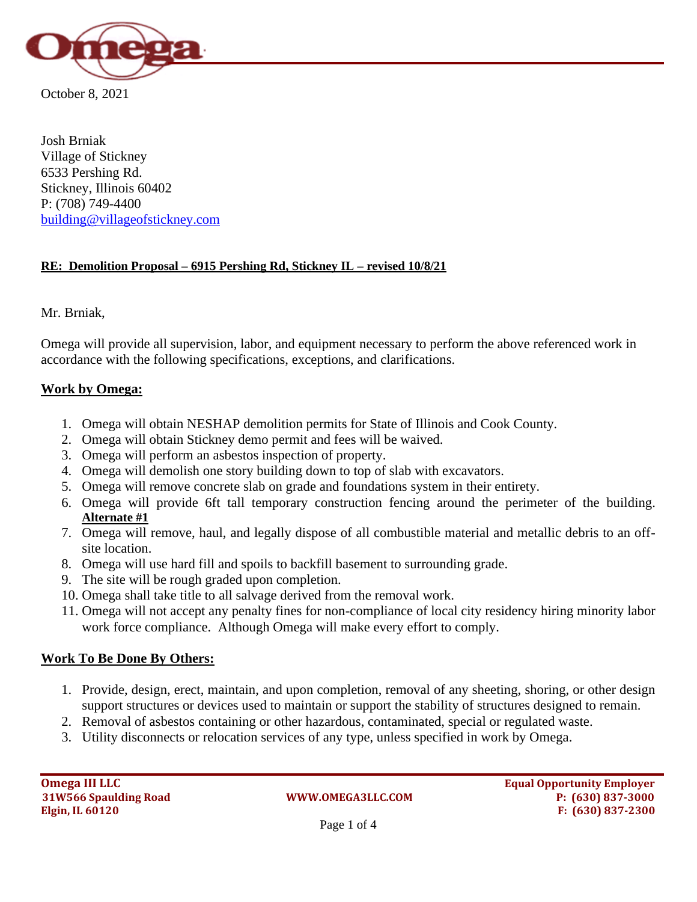

October 8, 2021

Josh Brniak Village of Stickney 6533 Pershing Rd. Stickney, Illinois 60402 P: (708) 749-4400 [building@villageofstickney.com](mailto:building@villageofstickney.com)

## **RE: Demolition Proposal – 6915 Pershing Rd, Stickney IL – revised 10/8/21**

Mr. Brniak,

Omega will provide all supervision, labor, and equipment necessary to perform the above referenced work in accordance with the following specifications, exceptions, and clarifications.

### **Work by Omega:**

- 1. Omega will obtain NESHAP demolition permits for State of Illinois and Cook County.
- 2. Omega will obtain Stickney demo permit and fees will be waived.
- 3. Omega will perform an asbestos inspection of property.
- 4. Omega will demolish one story building down to top of slab with excavators.
- 5. Omega will remove concrete slab on grade and foundations system in their entirety.
- 6. Omega will provide 6ft tall temporary construction fencing around the perimeter of the building. **Alternate #1**
- 7. Omega will remove, haul, and legally dispose of all combustible material and metallic debris to an offsite location.
- 8. Omega will use hard fill and spoils to backfill basement to surrounding grade.
- 9. The site will be rough graded upon completion.
- 10. Omega shall take title to all salvage derived from the removal work.
- 11. Omega will not accept any penalty fines for non-compliance of local city residency hiring minority labor work force compliance. Although Omega will make every effort to comply.

## **Work To Be Done By Others:**

- 1. Provide, design, erect, maintain, and upon completion, removal of any sheeting, shoring, or other design support structures or devices used to maintain or support the stability of structures designed to remain.
- 2. Removal of asbestos containing or other hazardous, contaminated, special or regulated waste.
- 3. Utility disconnects or relocation services of any type, unless specified in work by Omega.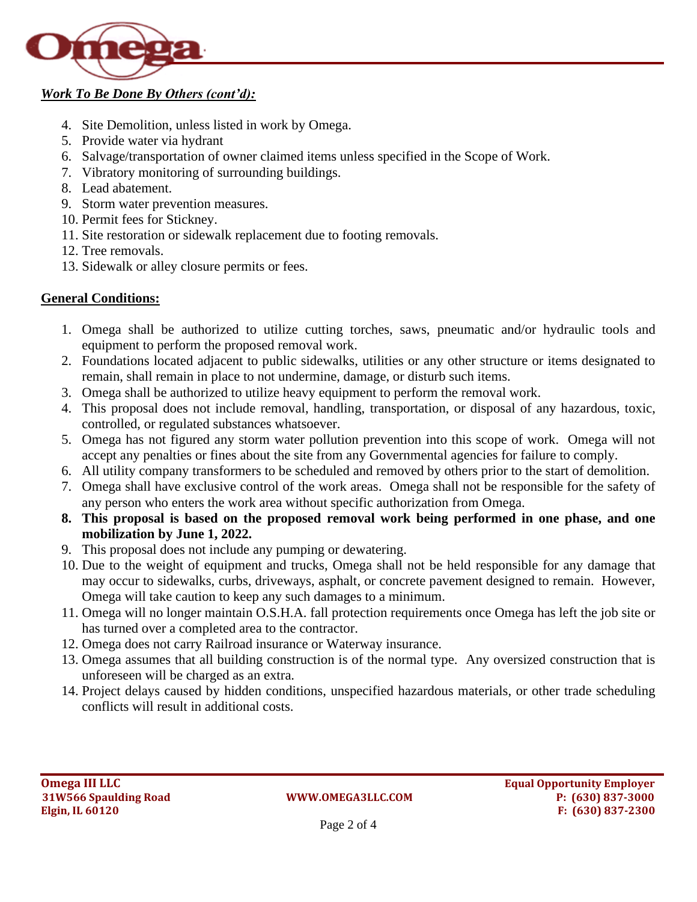

## *Work To Be Done By Others (cont'd):*

- 4. Site Demolition, unless listed in work by Omega.
- 5. Provide water via hydrant
- 6. Salvage/transportation of owner claimed items unless specified in the Scope of Work.
- 7. Vibratory monitoring of surrounding buildings.
- 8. Lead abatement.
- 9. Storm water prevention measures.
- 10. Permit fees for Stickney.
- 11. Site restoration or sidewalk replacement due to footing removals.
- 12. Tree removals.
- 13. Sidewalk or alley closure permits or fees.

# **General Conditions:**

- 1. Omega shall be authorized to utilize cutting torches, saws, pneumatic and/or hydraulic tools and equipment to perform the proposed removal work.
- 2. Foundations located adjacent to public sidewalks, utilities or any other structure or items designated to remain, shall remain in place to not undermine, damage, or disturb such items.
- 3. Omega shall be authorized to utilize heavy equipment to perform the removal work.
- 4. This proposal does not include removal, handling, transportation, or disposal of any hazardous, toxic, controlled, or regulated substances whatsoever.
- 5. Omega has not figured any storm water pollution prevention into this scope of work. Omega will not accept any penalties or fines about the site from any Governmental agencies for failure to comply.
- 6. All utility company transformers to be scheduled and removed by others prior to the start of demolition.
- 7. Omega shall have exclusive control of the work areas. Omega shall not be responsible for the safety of any person who enters the work area without specific authorization from Omega.
- **8. This proposal is based on the proposed removal work being performed in one phase, and one mobilization by June 1, 2022.**
- 9. This proposal does not include any pumping or dewatering.
- 10. Due to the weight of equipment and trucks, Omega shall not be held responsible for any damage that may occur to sidewalks, curbs, driveways, asphalt, or concrete pavement designed to remain. However, Omega will take caution to keep any such damages to a minimum.
- 11. Omega will no longer maintain O.S.H.A. fall protection requirements once Omega has left the job site or has turned over a completed area to the contractor.
- 12. Omega does not carry Railroad insurance or Waterway insurance.
- 13. Omega assumes that all building construction is of the normal type. Any oversized construction that is unforeseen will be charged as an extra.
- 14. Project delays caused by hidden conditions, unspecified hazardous materials, or other trade scheduling conflicts will result in additional costs.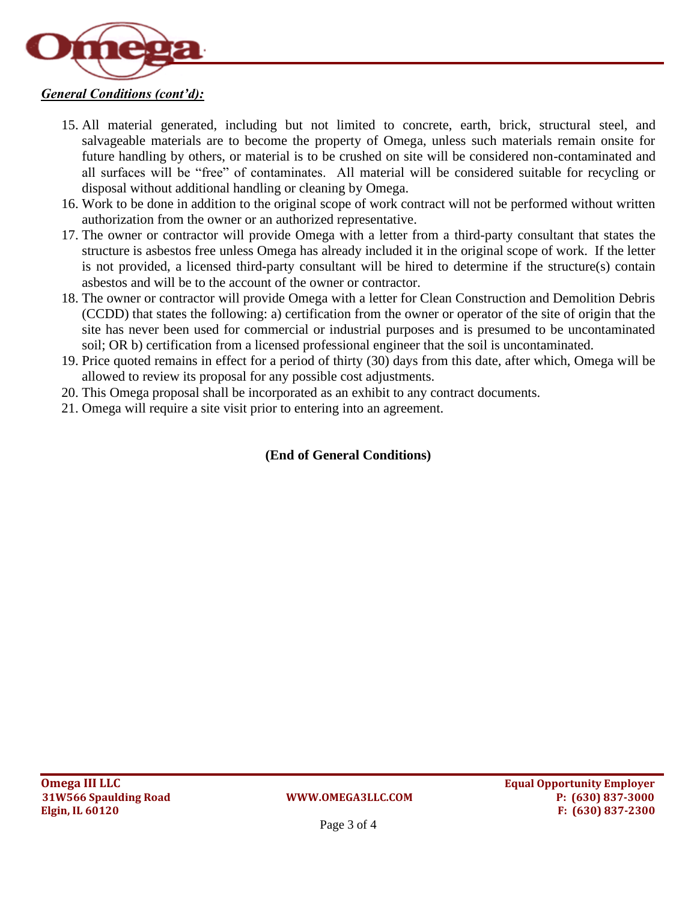

## *General Conditions (cont'd):*

- 15. All material generated, including but not limited to concrete, earth, brick, structural steel, and salvageable materials are to become the property of Omega, unless such materials remain onsite for future handling by others, or material is to be crushed on site will be considered non-contaminated and all surfaces will be "free" of contaminates. All material will be considered suitable for recycling or disposal without additional handling or cleaning by Omega.
- 16. Work to be done in addition to the original scope of work contract will not be performed without written authorization from the owner or an authorized representative.
- 17. The owner or contractor will provide Omega with a letter from a third-party consultant that states the structure is asbestos free unless Omega has already included it in the original scope of work. If the letter is not provided, a licensed third-party consultant will be hired to determine if the structure(s) contain asbestos and will be to the account of the owner or contractor.
- 18. The owner or contractor will provide Omega with a letter for Clean Construction and Demolition Debris (CCDD) that states the following: a) certification from the owner or operator of the site of origin that the site has never been used for commercial or industrial purposes and is presumed to be uncontaminated soil; OR b) certification from a licensed professional engineer that the soil is uncontaminated.
- 19. Price quoted remains in effect for a period of thirty (30) days from this date, after which, Omega will be allowed to review its proposal for any possible cost adjustments.
- 20. This Omega proposal shall be incorporated as an exhibit to any contract documents.
- 21. Omega will require a site visit prior to entering into an agreement.

## **(End of General Conditions)**